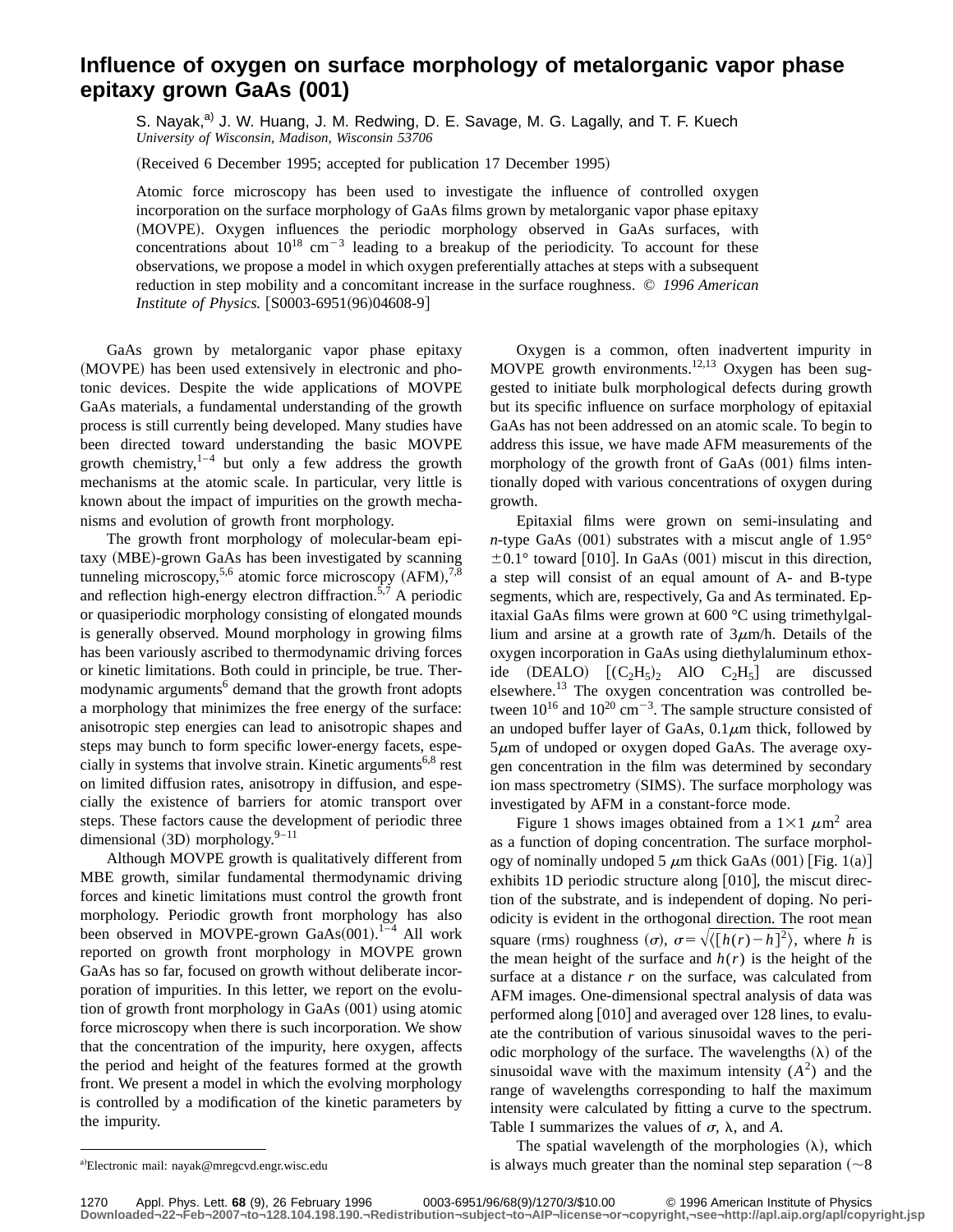## **Influence of oxygen on surface morphology of metalorganic vapor phase epitaxy grown GaAs (001)**

S. Nayak,<sup>a)</sup> J. W. Huang, J. M. Redwing, D. E. Savage, M. G. Lagally, and T. F. Kuech *University of Wisconsin, Madison, Wisconsin 53706*

(Received 6 December 1995; accepted for publication 17 December 1995)

Atomic force microscopy has been used to investigate the influence of controlled oxygen incorporation on the surface morphology of GaAs films grown by metalorganic vapor phase epitaxy (MOVPE). Oxygen influences the periodic morphology observed in GaAs surfaces, with concentrations about  $10^{18}$  cm<sup>-3</sup> leading to a breakup of the periodicity. To account for these observations, we propose a model in which oxygen preferentially attaches at steps with a subsequent reduction in step mobility and a concomitant increase in the surface roughness. © *1996 American Institute of Physics.* [S0003-6951(96)04608-9]

GaAs grown by metalorganic vapor phase epitaxy (MOVPE) has been used extensively in electronic and photonic devices. Despite the wide applications of MOVPE GaAs materials, a fundamental understanding of the growth process is still currently being developed. Many studies have been directed toward understanding the basic MOVPE growth chemistry, $1-4$  but only a few address the growth mechanisms at the atomic scale. In particular, very little is known about the impact of impurities on the growth mechanisms and evolution of growth front morphology.

The growth front morphology of molecular-beam epitaxy (MBE)-grown GaAs has been investigated by scanning tunneling microscopy,<sup>5,6</sup> atomic force microscopy  $(AFM),^{7,8}$ and reflection high-energy electron diffraction.<sup>5,7</sup> A periodic or quasiperiodic morphology consisting of elongated mounds is generally observed. Mound morphology in growing films has been variously ascribed to thermodynamic driving forces or kinetic limitations. Both could in principle, be true. Thermodynamic arguments<sup>6</sup> demand that the growth front adopts a morphology that minimizes the free energy of the surface: anisotropic step energies can lead to anisotropic shapes and steps may bunch to form specific lower-energy facets, especially in systems that involve strain. Kinetic arguments<sup>6,8</sup> rest on limited diffusion rates, anisotropy in diffusion, and especially the existence of barriers for atomic transport over steps. These factors cause the development of periodic three dimensional  $(3D)$  morphology.<sup>9–11</sup>

Although MOVPE growth is qualitatively different from MBE growth, similar fundamental thermodynamic driving forces and kinetic limitations must control the growth front morphology. Periodic growth front morphology has also been observed in MOVPE-grown  $GaAs(001)$ .<sup>1-4</sup> All work reported on growth front morphology in MOVPE grown GaAs has so far, focused on growth without deliberate incorporation of impurities. In this letter, we report on the evolution of growth front morphology in GaAs  $(001)$  using atomic force microscopy when there is such incorporation. We show that the concentration of the impurity, here oxygen, affects the period and height of the features formed at the growth front. We present a model in which the evolving morphology is controlled by a modification of the kinetic parameters by the impurity.

Oxygen is a common, often inadvertent impurity in MOVPE growth environments.<sup>12,13</sup> Oxygen has been suggested to initiate bulk morphological defects during growth but its specific influence on surface morphology of epitaxial GaAs has not been addressed on an atomic scale. To begin to address this issue, we have made AFM measurements of the morphology of the growth front of GaAs  $(001)$  films intentionally doped with various concentrations of oxygen during growth.

Epitaxial films were grown on semi-insulating and *n*-type GaAs  $(001)$  substrates with a miscut angle of 1.95°  $\pm 0.1^{\circ}$  toward [010]. In GaAs (001) miscut in this direction, a step will consist of an equal amount of A- and B-type segments, which are, respectively, Ga and As terminated. Epitaxial GaAs films were grown at 600 °C using trimethylgallium and arsine at a growth rate of  $3\mu$ m/h. Details of the oxygen incorporation in GaAs using diethylaluminum ethoxide  $(DEALO)$   $[(C_2H_5)_2$  AlO  $C_2H_5]$  are discussed elsewhere.13 The oxygen concentration was controlled between  $10^{16}$  and  $10^{20}$  cm<sup>-3</sup>. The sample structure consisted of an undoped buffer layer of GaAs,  $0.1 \mu m$  thick, followed by  $5\mu$ m of undoped or oxygen doped GaAs. The average oxygen concentration in the film was determined by secondary ion mass spectrometry (SIMS). The surface morphology was investigated by AFM in a constant-force mode.

Figure 1 shows images obtained from a  $1\times1$   $\mu$ m<sup>2</sup> area as a function of doping concentration. The surface morphology of nominally undoped 5  $\mu$ m thick GaAs (001) [Fig. 1(a)] exhibits 1D periodic structure along  $[010]$ , the miscut direction of the substrate, and is independent of doping. No periodicity is evident in the orthogonal direction. The root mean square (rms) roughness  $(\sigma)$ ,  $\sigma = \sqrt{\langle [h(r) - \bar{h}]^2 \rangle}$ , where  $\bar{h}$  is the mean height of the surface and  $h(r)$  is the height of the surface at a distance *r* on the surface, was calculated from AFM images. One-dimensional spectral analysis of data was performed along  $[010]$  and averaged over 128 lines, to evaluate the contribution of various sinusoidal waves to the periodic morphology of the surface. The wavelengths  $(\lambda)$  of the sinusoidal wave with the maximum intensity  $(A^2)$  and the range of wavelengths corresponding to half the maximum intensity were calculated by fitting a curve to the spectrum. Table I summarizes the values of  $\sigma$ ,  $\lambda$ , and *A*.

The spatial wavelength of the morphologies  $(\lambda)$ , which is always much greater than the nominal step separation  $({\sim}8$ 

1270 Appl. Phys. Lett. **68** (9), 26 February 1996 0003-6951/96/68(9)/1270/3/\$10.00 © 1996 American Institute of Physics **Downloaded¬22¬Feb¬2007¬to¬128.104.198.190.¬Redistribution¬subject¬to¬AIP¬license¬or¬copyright,¬see¬http://apl.aip.org/apl/copyright.jsp**

a)Electronic mail: nayak@mregcvd.engr.wisc.edu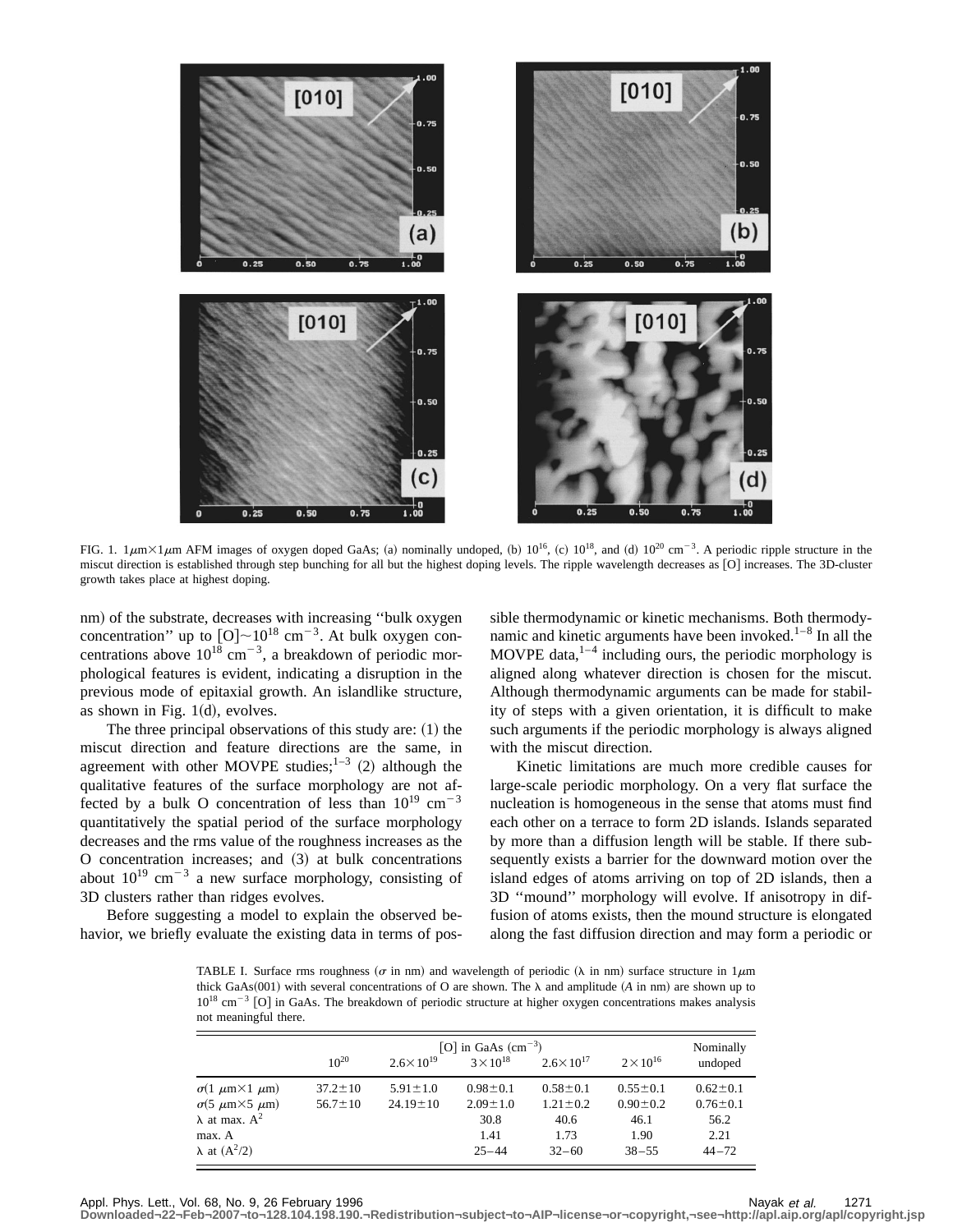

FIG. 1.  $1 \mu m \times 1 \mu m$  AFM images of oxygen doped GaAs; (a) nominally undoped, (b)  $10^{16}$ , (c)  $10^{18}$ , and (d)  $10^{20}$  cm<sup>-3</sup>. A periodic ripple structure in the miscut direction is established through step bunching for all but the highest doping levels. The ripple wavelength decreases as [O] increases. The 3D-cluster growth takes place at highest doping.

nm) of the substrate, decreases with increasing "bulk oxygen concentration" up to  $[O] \sim 10^{18}$  cm<sup>-3</sup>. At bulk oxygen concentrations above  $10^{18}$  cm<sup>-3</sup>, a breakdown of periodic morphological features is evident, indicating a disruption in the previous mode of epitaxial growth. An islandlike structure, as shown in Fig.  $1(d)$ , evolves.

The three principal observations of this study are:  $(1)$  the miscut direction and feature directions are the same, in agreement with other MOVPE studies;  $1-3$  (2) although the qualitative features of the surface morphology are not affected by a bulk O concentration of less than  $10^{19}$  cm<sup>-3</sup> quantitatively the spatial period of the surface morphology decreases and the rms value of the roughness increases as the  $O$  concentration increases; and  $(3)$  at bulk concentrations about  $10^{19}$  cm<sup>-3</sup> a new surface morphology, consisting of 3D clusters rather than ridges evolves.

Before suggesting a model to explain the observed behavior, we briefly evaluate the existing data in terms of possible thermodynamic or kinetic mechanisms. Both thermodynamic and kinetic arguments have been invoked.<sup>1-8</sup> In all the MOVPE data, $1-4$  including ours, the periodic morphology is aligned along whatever direction is chosen for the miscut. Although thermodynamic arguments can be made for stability of steps with a given orientation, it is difficult to make such arguments if the periodic morphology is always aligned with the miscut direction.

Kinetic limitations are much more credible causes for large-scale periodic morphology. On a very flat surface the nucleation is homogeneous in the sense that atoms must find each other on a terrace to form 2D islands. Islands separated by more than a diffusion length will be stable. If there subsequently exists a barrier for the downward motion over the island edges of atoms arriving on top of 2D islands, then a 3D ''mound'' morphology will evolve. If anisotropy in diffusion of atoms exists, then the mound structure is elongated along the fast diffusion direction and may form a periodic or

TABLE I. Surface rms roughness ( $\sigma$  in nm) and wavelength of periodic ( $\lambda$  in nm) surface structure in 1 $\mu$ m thick GaAs(001) with several concentrations of O are shown. The  $\lambda$  and amplitude (A in nm) are shown up to  $10^{18}$  cm<sup>-3</sup> [O] in GaAs. The breakdown of periodic structure at higher oxygen concentrations makes analysis not meaningful there.

|                                         | [O] in GaAs $\text{(cm}^{-3})$ |                      |                    |                      |                    | Nominally      |
|-----------------------------------------|--------------------------------|----------------------|--------------------|----------------------|--------------------|----------------|
|                                         | $10^{20}$                      | $2.6 \times 10^{19}$ | $3 \times 10^{18}$ | $2.6 \times 10^{17}$ | $2 \times 10^{16}$ | undoped        |
| $\sigma(1 \mu m \times 1 \mu m)$        | $37.2 \pm 10$                  | $5.91 \pm 1.0$       | $0.98 \pm 0.1$     | $0.58 \pm 0.1$       | $0.55 \pm 0.1$     | $0.62 \pm 0.1$ |
| $\sigma$ (5 $\mu$ m $\times$ 5 $\mu$ m) | $56.7 \pm 10$                  | $24.19 \pm 10$       | $2.09 \pm 1.0$     | $1.21 \pm 0.2$       | $0.90 \pm 0.2$     | $0.76 \pm 0.1$ |
| $\lambda$ at max. $A^2$                 |                                |                      | 30.8               | 40.6                 | 46.1               | 56.2           |
| max. A                                  |                                |                      | 1.41               | 1.73                 | 1.90               | 2.21           |
| $\lambda$ at $(A^2/2)$                  |                                |                      | $25 - 44$          | $32 - 60$            | $38 - 55$          | $44 - 72$      |

Appl. Phys. Lett., Vol. 68, No. 9, 26 February 1996 Nayak et al. 1271

**Downloaded¬22¬Feb¬2007¬to¬128.104.198.190.¬Redistribution¬subject¬to¬AIP¬license¬or¬copyright,¬see¬http://apl.aip.org/apl/copyright.jsp**